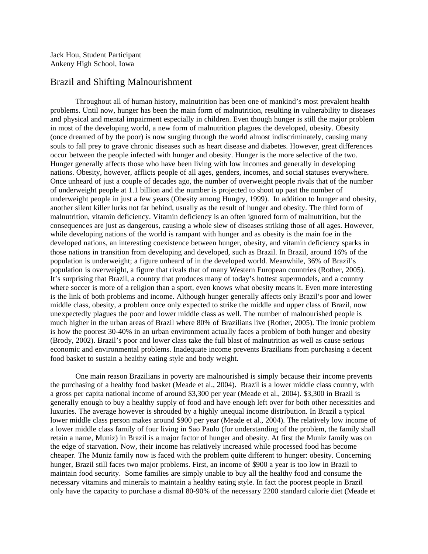Jack Hou, Student Participant Ankeny High School, Iowa

## Brazil and Shifting Malnourishment

Throughout all of human history, malnutrition has been one of mankind's most prevalent health problems. Until now, hunger has been the main form of malnutrition, resulting in vulnerability to diseases and physical and mental impairment especially in children. Even though hunger is still the major problem in most of the developing world, a new form of malnutrition plagues the developed, obesity. Obesity (once dreamed of by the poor) is now surging through the world almost indiscriminately, causing many souls to fall prey to grave chronic diseases such as heart disease and diabetes. However, great differences occur between the people infected with hunger and obesity. Hunger is the more selective of the two. Hunger generally affects those who have been living with low incomes and generally in developing nations. Obesity, however, afflicts people of all ages, genders, incomes, and social statuses everywhere. Once unheard of just a couple of decades ago, the number of overweight people rivals that of the number of underweight people at 1.1 billion and the number is projected to shoot up past the number of underweight people in just a few years (Obesity among Hungry, 1999). In addition to hunger and obesity, another silent killer lurks not far behind, usually as the result of hunger and obesity. The third form of malnutrition, vitamin deficiency. Vitamin deficiency is an often ignored form of malnutrition, but the consequences are just as dangerous, causing a whole slew of diseases striking those of all ages. However, while developing nations of the world is rampant with hunger and as obesity is the main foe in the developed nations, an interesting coexistence between hunger, obesity, and vitamin deficiency sparks in those nations in transition from developing and developed, such as Brazil. In Brazil, around 16% of the population is underweight; a figure unheard of in the developed world. Meanwhile, 36% of Brazil's population is overweight, a figure that rivals that of many Western European countries (Rother, 2005). It's surprising that Brazil, a country that produces many of today's hottest supermodels, and a country where soccer is more of a religion than a sport, even knows what obesity means it. Even more interesting is the link of both problems and income. Although hunger generally affects only Brazil's poor and lower middle class, obesity, a problem once only expected to strike the middle and upper class of Brazil, now unexpectedly plagues the poor and lower middle class as well. The number of malnourished people is much higher in the urban areas of Brazil where 80% of Brazilians live (Rother, 2005). The ironic problem is how the poorest 30-40% in an urban environment actually faces a problem of both hunger and obesity (Brody, 2002). Brazil's poor and lower class take the full blast of malnutrition as well as cause serious economic and environmental problems. Inadequate income prevents Brazilians from purchasing a decent food basket to sustain a healthy eating style and body weight.

One main reason Brazilians in poverty are malnourished is simply because their income prevents the purchasing of a healthy food basket (Meade et al., 2004). Brazil is a lower middle class country, with a gross per capita national income of around \$3,300 per year (Meade et al., 2004). \$3,300 in Brazil is generally enough to buy a healthy supply of food and have enough left over for both other necessities and luxuries. The average however is shrouded by a highly unequal income distribution. In Brazil a typical lower middle class person makes around \$900 per year (Meade et al., 2004). The relatively low income of a lower middle class family of four living in Sao Paulo (for understanding of the problem, the family shall retain a name, Muniz) in Brazil is a major factor of hunger and obesity. At first the Muniz family was on the edge of starvation. Now, their income has relatively increased while processed food has become cheaper. The Muniz family now is faced with the problem quite different to hunger: obesity. Concerning hunger, Brazil still faces two major problems. First, an income of \$900 a year is too low in Brazil to maintain food security. Some families are simply unable to buy all the healthy food and consume the necessary vitamins and minerals to maintain a healthy eating style. In fact the poorest people in Brazil only have the capacity to purchase a dismal 80-90% of the necessary 2200 standard calorie diet (Meade et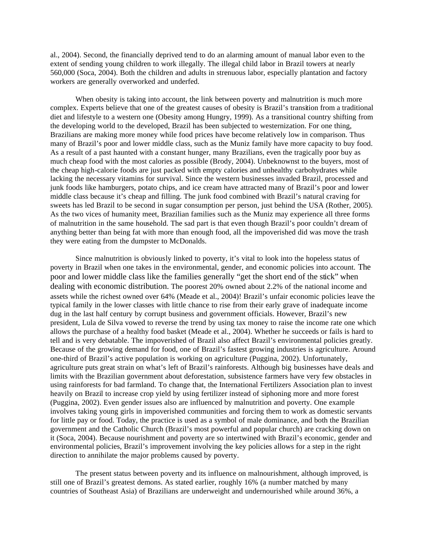al., 2004). Second, the financially deprived tend to do an alarming amount of manual labor even to the extent of sending young children to work illegally. The illegal child labor in Brazil towers at nearly 560,000 (Soca, 2004). Both the children and adults in strenuous labor, especially plantation and factory workers are generally overworked and underfed.

When obesity is taking into account, the link between poverty and malnutrition is much more complex. Experts believe that one of the greatest causes of obesity is Brazil's transition from a traditional diet and lifestyle to a western one (Obesity among Hungry, 1999). As a transitional country shifting from the developing world to the developed, Brazil has been subjected to westernization. For one thing, Brazilians are making more money while food prices have become relatively low in comparison. Thus many of Brazil's poor and lower middle class, such as the Muniz family have more capacity to buy food. As a result of a past haunted with a constant hunger, many Brazilians, even the tragically poor buy as much cheap food with the most calories as possible (Brody, 2004). Unbeknownst to the buyers, most of the cheap high-calorie foods are just packed with empty calories and unhealthy carbohydrates while lacking the necessary vitamins for survival. Since the western businesses invaded Brazil, processed and junk foods like hamburgers, potato chips, and ice cream have attracted many of Brazil's poor and lower middle class because it's cheap and filling. The junk food combined with Brazil's natural craving for sweets has led Brazil to be second in sugar consumption per person, just behind the USA (Rother, 2005). As the two vices of humanity meet, Brazilian families such as the Muniz may experience all three forms of malnutrition in the same household. The sad part is that even though Brazil's poor couldn't dream of anything better than being fat with more than enough food, all the impoverished did was move the trash they were eating from the dumpster to McDonalds.

Since malnutrition is obviously linked to poverty, it's vital to look into the hopeless status of poverty in Brazil when one takes in the environmental, gender, and economic policies into account. The poor and lower middle class like the families generally "get the short end of the stick" when dealing with economic distribution. The poorest 20% owned about 2.2% of the national income and assets while the richest owned over 64% (Meade et al., 2004)! Brazil's unfair economic policies leave the typical family in the lower classes with little chance to rise from their early grave of inadequate income dug in the last half century by corrupt business and government officials. However, Brazil's new president, Lula de Silva vowed to reverse the trend by using tax money to raise the income rate one which allows the purchase of a healthy food basket (Meade et al., 2004). Whether he succeeds or fails is hard to tell and is very debatable. The impoverished of Brazil also affect Brazil's environmental policies greatly. Because of the growing demand for food, one of Brazil's fastest growing industries is agriculture. Around one-third of Brazil's active population is working on agriculture (Puggina, 2002). Unfortunately, agriculture puts great strain on what's left of Brazil's rainforests. Although big businesses have deals and limits with the Brazilian government about deforestation, subsistence farmers have very few obstacles in using rainforests for bad farmland. To change that, the International Fertilizers Association plan to invest heavily on Brazil to increase crop yield by using fertilizer instead of siphoning more and more forest (Puggina, 2002). Even gender issues also are influenced by malnutrition and poverty. One example involves taking young girls in impoverished communities and forcing them to work as domestic servants for little pay or food. Today, the practice is used as a symbol of male dominance, and both the Brazilian government and the Catholic Church (Brazil's most powerful and popular church) are cracking down on it (Soca, 2004). Because nourishment and poverty are so intertwined with Brazil's economic, gender and environmental policies, Brazil's improvement involving the key policies allows for a step in the right direction to annihilate the major problems caused by poverty.

The present status between poverty and its influence on malnourishment, although improved, is still one of Brazil's greatest demons. As stated earlier, roughly 16% (a number matched by many countries of Southeast Asia) of Brazilians are underweight and undernourished while around 36%, a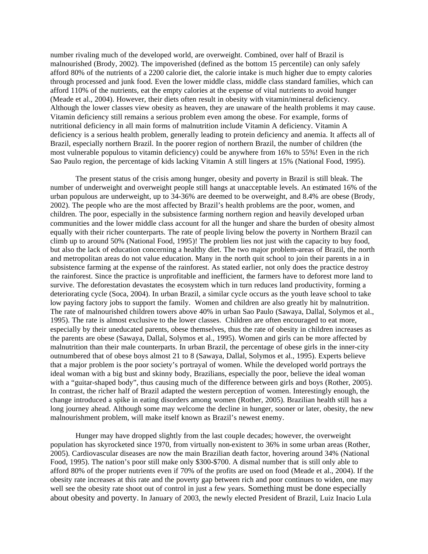number rivaling much of the developed world, are overweight. Combined, over half of Brazil is malnourished (Brody, 2002). The impoverished (defined as the bottom 15 percentile) can only safely afford 80% of the nutrients of a 2200 calorie diet, the calorie intake is much higher due to empty calories through processed and junk food. Even the lower middle class, middle class standard families, which can afford 110% of the nutrients, eat the empty calories at the expense of vital nutrients to avoid hunger (Meade et al., 2004). However, their diets often result in obesity with vitamin/mineral deficiency. Although the lower classes view obesity as heaven, they are unaware of the health problems it may cause. Vitamin deficiency still remains a serious problem even among the obese. For example, forms of nutritional deficiency in all main forms of malnutrition include Vitamin A deficiency. Vitamin A deficiency is a serious health problem, generally leading to protein deficiency and anemia. It affects all of Brazil, especially northern Brazil. In the poorer region of northern Brazil, the number of children (the most vulnerable populous to vitamin deficiency) could be anywhere from 16% to 55%! Even in the rich Sao Paulo region, the percentage of kids lacking Vitamin A still lingers at 15% (National Food, 1995).

The present status of the crisis among hunger, obesity and poverty in Brazil is still bleak. The number of underweight and overweight people still hangs at unacceptable levels. An estimated 16% of the urban populous are underweight, up to 34-36% are deemed to be overweight, and 8.4% are obese (Brody, 2002). The people who are the most affected by Brazil's health problems are the poor, women, and children. The poor, especially in the subsistence farming northern region and heavily developed urban communities and the lower middle class account for all the hunger and share the burden of obesity almost equally with their richer counterparts. The rate of people living below the poverty in Northern Brazil can climb up to around 50% (National Food, 1995)! The problem lies not just with the capacity to buy food, but also the lack of education concerning a healthy diet. The two major problem-areas of Brazil, the north and metropolitan areas do not value education. Many in the north quit school to join their parents in a in subsistence farming at the expense of the rainforest. As stated earlier, not only does the practice destroy the rainforest. Since the practice is unprofitable and inefficient, the farmers have to deforest more land to survive. The deforestation devastates the ecosystem which in turn reduces land productivity, forming a deteriorating cycle (Soca, 2004). In urban Brazil, a similar cycle occurs as the youth leave school to take low paying factory jobs to support the family. Women and children are also greatly hit by malnutrition. The rate of malnourished children towers above 40% in urban Sao Paulo (Sawaya, Dallal, Solymos et al., 1995). The rate is almost exclusive to the lower classes. Children are often encouraged to eat more, especially by their uneducated parents, obese themselves, thus the rate of obesity in children increases as the parents are obese (Sawaya, Dallal, Solymos et al., 1995). Women and girls can be more affected by malnutrition than their male counterparts. In urban Brazil, the percentage of obese girls in the inner-city outnumbered that of obese boys almost 21 to 8 (Sawaya, Dallal, Solymos et al., 1995). Experts believe that a major problem is the poor society's portrayal of women. While the developed world portrays the ideal woman with a big bust and skinny body, Brazilians, especially the poor, believe the ideal woman with a "guitar-shaped body", thus causing much of the difference between girls and boys (Rother, 2005). In contrast, the richer half of Brazil adapted the western perception of women. Interestingly enough, the change introduced a spike in eating disorders among women (Rother, 2005). Brazilian health still has a long journey ahead. Although some may welcome the decline in hunger, sooner or later, obesity, the new malnourishment problem, will make itself known as Brazil's newest enemy.

Hunger may have dropped slightly from the last couple decades; however, the overweight population has skyrocketed since 1970, from virtually non-existent to 36% in some urban areas (Rother, 2005). Cardiovascular diseases are now the main Brazilian death factor, hovering around 34% (National Food, 1995). The nation's poor still make only \$300-\$700. A dismal number that is still only able to afford 80% of the proper nutrients even if 70% of the profits are used on food (Meade et al., 2004). If the obesity rate increases at this rate and the poverty gap between rich and poor continues to widen, one may well see the obesity rate shoot out of control in just a few years. Something must be done especially about obesity and poverty. In January of 2003, the newly elected President of Brazil, Luiz Inacio Lula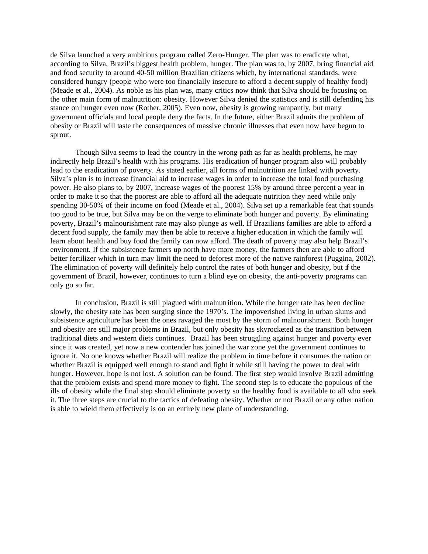de Silva launched a very ambitious program called Zero-Hunger. The plan was to eradicate what, according to Silva, Brazil's biggest health problem, hunger. The plan was to, by 2007, bring financial aid and food security to around 40-50 million Brazilian citizens which, by international standards, were considered hungry (people who were too financially insecure to afford a decent supply of healthy food) (Meade et al., 2004). As noble as his plan was, many critics now think that Silva should be focusing on the other main form of malnutrition: obesity. However Silva denied the statistics and is still defending his stance on hunger even now (Rother, 2005). Even now, obesity is growing rampantly, but many government officials and local people deny the facts. In the future, either Brazil admits the problem of obesity or Brazil will taste the consequences of massive chronic illnesses that even now have begun to sprout.

Though Silva seems to lead the country in the wrong path as far as health problems, he may indirectly help Brazil's health with his programs. His eradication of hunger program also will probably lead to the eradication of poverty. As stated earlier, all forms of malnutrition are linked with poverty. Silva's plan is to increase financial aid to increase wages in order to increase the total food purchasing power. He also plans to, by 2007, increase wages of the poorest 15% by around three percent a year in order to make it so that the poorest are able to afford all the adequate nutrition they need while only spending 30-50% of their income on food (Meade et al., 2004). Silva set up a remarkable feat that sounds too good to be true, but Silva may be on the verge to eliminate both hunger and poverty. By eliminating poverty, Brazil's malnourishment rate may also plunge as well. If Brazilians families are able to afford a decent food supply, the family may then be able to receive a higher education in which the family will learn about health and buy food the family can now afford. The death of poverty may also help Brazil's environment. If the subsistence farmers up north have more money, the farmers then are able to afford better fertilizer which in turn may limit the need to deforest more of the native rainforest (Puggina, 2002). The elimination of poverty will definitely help control the rates of both hunger and obesity, but if the government of Brazil, however, continues to turn a blind eye on obesity, the anti-poverty programs can only go so far.

In conclusion, Brazil is still plagued with malnutrition. While the hunger rate has been decline slowly, the obesity rate has been surging since the 1970's. The impoverished living in urban slums and subsistence agriculture has been the ones ravaged the most by the storm of malnourishment. Both hunger and obesity are still major problems in Brazil, but only obesity has skyrocketed as the transition between traditional diets and western diets continues. Brazil has been struggling against hunger and poverty ever since it was created, yet now a new contender has joined the war zone yet the government continues to ignore it. No one knows whether Brazil will realize the problem in time before it consumes the nation or whether Brazil is equipped well enough to stand and fight it while still having the power to deal with hunger. However, hope is not lost. A solution can be found. The first step would involve Brazil admitting that the problem exists and spend more money to fight. The second step is to educate the populous of the ills of obesity while the final step should eliminate poverty so the healthy food is available to all who seek it. The three steps are crucial to the tactics of defeating obesity. Whether or not Brazil or any other nation is able to wield them effectively is on an entirely new plane of understanding.